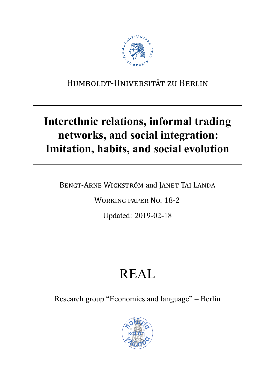

## HUMBOLDT-UNIVERSITÄT ZU BERLIN

# Interethnic relations, informal trading networks, and social integration: Imitation, habits, and social evolution

BENGT-ARNE WICKSTRÖM and JANET TAI LANDA

**WORKING PAPER NO. 18-2** 

Updated: 2019-02-18

# **REAL**

Research group "Economics and language" – Berlin

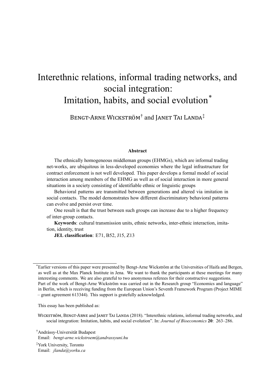## Interethnic relations, informal trading networks, and social integration: Imitation, habits, and social evolution<sup>\*</sup>

BENGT-ARNE WICKSTRÖM<sup>†</sup> and JANET TAI LANDA<sup>‡</sup>

#### **Abstract**

The ethnically homogeneous middleman groups (EHMGs), which are informal trading net-works, are ubiquitous in less-developed economies where the legal infrastructure for contract enforcement is not well developed. This paper develops a formal model of social interaction among members of the EHMG as well as of social interaction in more general situations in a society consisting of identifiable ethnic or linguistic groups

Behavioral patterns are transmitted between generations and altered via imitation in social contacts. The model demonstrates how different discriminatory behavioral patterns can evolve and persist over time.

One result is that the trust between such groups can increase due to a higher frequency of inter-group contacts.

**Keywords**: cultural transmission units, ethnic networks, inter-ethnic interaction, imitation, identity, trust

**JEL classification**: E71, B52, J15, Z13

This essay has been published as:

WICKSTRÖM, BENGT-ARNE and JANET TAI LANDA (2018). "Interethnic relations, informal trading networks, and social integration: Imitation, habits, and social evolution". In: *Journal of Bioeconomics* **20**: 263–286.

†Andrássy-Universität Budapest Email: *bengt-arne.wickstroem@andrassyuni.hu*

‡York University, Toronto Email: *jlanda@yorku.ca*

<sup>\*</sup>Earlier versions of this paper were presented by Bengt-Arne Wickström at the Universities of Haifa and Bergen, as well as at the Max Planck Institute in Jena. We want to thank the participants at these meetings for many interesting comments. We are also grateful to two anonymous referees for their constructive suggestions. Part of the work of Bengt-Arne Wickström was carried out in the Research group "Economics and language" in Berlin, which is receiving funding from the European Union's Seventh Framework Program (Project MIME – grant agreement 613344). This support is gratefully acknowledged.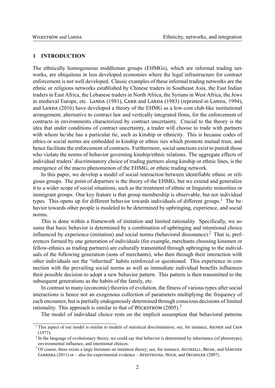#### **1 INTRODUCTION**

The ethnically homogeneous middleman groups (EHMGs), which are informal trading networks, are ubiquitous in less developed economies where the legal infrastructure for contract enforcement is not well developed. Classic examples of these informal trading networks are the ethnic or religions networks established by Chinese traders in Southeast Asia, the East Indian traders in East Africa, the Lebanese traders in North Africa, the Syrians in West Africa, the Jews in medieval Europe, etc. LANDA (1981), CARR and LANDA (1983) (reprinted in LANDA, 1994), and LANDA (2016) have developed a theory of the EHMG as a low-cost club-like institutional arrangement, alternative to contract law and vertically integrated firms, for the enforcement of contracts in environments characterized by contract uncertainty. Crucial to the theory is the idea that under conditions of contract uncertainty, a trader will choose to trade with partners with whom he/she has a particular tie, such as kinship or ethnicity. This is because codes of ethics or social norms are embedded in kinship or ethnic ties which promote mutual trust, and hence facilitate the enforcement of contracts. Furthermore, social sanctions exist to punish those who violate the norms of behavior governing kinship/ethnic relations. The aggregate effects of individual traders' discriminatory choice of trading partners along kinship or ethnic lines, is the emergence of the macro phenomenon of the EHMG, or ethnic trading network.

In this paper, we develop a model of social interaction between identifiable ethnic or religious groups. The point of departure is the theory of the EHMG, but we extend and generalize it to a wider scope of social situations, such as the treatment of ethnic or linguistic minorities or immigrant groups. One key feature is that group membership is observable, but not individual types. This opens up for different behavior towards individuals of different groups.<sup>1</sup> The behavior towards other people is modeled to be determined by upbringing, experience, and social norms.

This is done within a framework of imitation and limited rationality. Specifically, we assume that basic behavior is determined by a combination of upbringing and intentional choice influenced by experience (imitation) and social norms (behavioral dissonance).<sup>2</sup> That is, preferences formed by one generation of individuals (for example, merchants choosing kinsmen or fellow-ethnics as trading partners) are culturally transmitted through upbringing to the individuals of the following generation (sons of merchants), who then through their interaction with other individuals see the "inherited" habits reinforced or questioned. This experience in connection with the prevailing social norms as well as immediate individual benefits influences their possible decision to adopt a new behavior pattern. This pattern is then transmitted to the subsequent generations as the habits of the family, etc.

In contrast to many (economic) theories of evolution, the fitness of various types after social interactions is hence not an exogenous collection of parameters multiplying the frequency of each encounter, but is partially endogenously determined through conscious decisions of limited rationality. This approach is similar to that of WICKSTRÖM (2005).<sup>3</sup>

The model of individual choice rests on the implicit assumption that behavioral patterns

 $1$  This aspect of our model is similar to models of statistical discrimination; see, for instance, AIGNER and CAIN (1977).

 $2$  In the language of evolutionary theory, we could say that behavior is determined by inheritance (of phenotype), environmental influence, and intentional choices.

<sup>&</sup>lt;sup>3</sup> Of course, there exists a large literature on imitation theory; see, for instance, ACCINELLI, BRIDA, and SÁNCHEZ CARRERA (2011) or – also for experimental evidence – APESTEGUIA, HUCK, and OECHSLER (2007).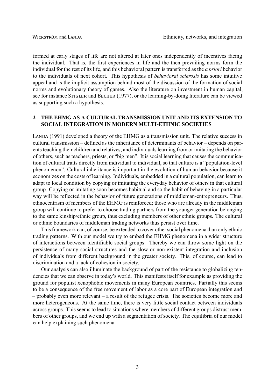formed at early stages of life are not altered at later ones independently of incentives facing the individual. That is, the first experiences in life and the then prevailing norms form the individual for the rest of its life, and this behavioral pattern is transferred as the *a priori* behavior to the individuals of next cohort. This hypothesis of *behavioral sclerosis* has some intuitive appeal and is the implicit assumption behind most of the discussion of the formation of social norms and evolutionary theory of games. Also the literature on investment in human capital, see for instance STIGLER and BECKER (1977), or the learning-by-doing literature can be viewed as supporting such a hypothesis.

### **2 THE EHMG AS A CULTURAL TRANSMISSION UNIT AND ITS EXTENSION TO SOCIAL INTEGRATION IN MODERN MULTI-ETHNIC SOCIETIES**

LANDA (1991) developed a theory of the EHMG as a transmission unit. The relative success in cultural transmission – defined as the inheritance of determinants of behavior – depends on parents teaching their children and relatives, and individuals learning from or imitating the behavior of others, such as teachers, priests, or "big men". It is social learning that causes the communication of cultural traits directly from individual to individual, so that culture is a "population-level phenomenon". Cultural inheritance is important in the evolution of human behavior because it economizes on the costs of learning. Individuals, embedded in a cultural population, can learn to adapt to local condition by copying or imitating the everyday behavior of others in that cultural group. Copying or imitating soon becomes habitual and so the habit of behaving in a particular way will be reflected in the behavior of future generations of middleman-entrepreneurs. Thus, ethnocentrism of members of the EHMG is reinforced; those who are already in the middleman group will continue to prefer to choose trading partners from the younger generation belonging to the same kinship/ethnic group, thus excluding members of other ethnic groups. The cultural or ethnic boundaries of middleman trading networks thus persist over time.

This framework can, of course, be extended to cover other social phenomena than only ethnic trading patterns. With our model we try to embed the EHMG phenomena in a wider structure of interactions between identifiable social groups. Thereby we can throw some light on the persistence of many social structures and the slow or non-existent integration and inclusion of individuals from different background in the greater society. This, of course, can lead to discrimination and a lack of cohesion in society.

Our analysis can also illuminate the background of part of the resistance to globalizing tendencies that we can observe in today's world. This manifests itself for example as providing the ground for populist xenophobic movements in many European countries. Partially this seems to be a consequence of the free movement of labor as a core part of European integration and – probably even more relevant – a result of the refugee crisis. The societies become more and more heterogeneous. At the same time, there is very little social contact between individuals across groups. This seems to lead to situations where members of different groups distrust members of other groups, and we end up with a segmentation of society. The equilibria of our model can help explaining such phenomena.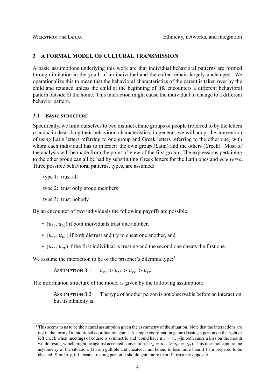#### **3 A FORMAL MODEL OF CULTURAL TRANSMISSION**

A basic assumptions underlying this work are that individual behavioral patterns are formed through imitation in the youth of an individual and thereafter remain largely unchanged. We operationalize this to mean that the behavioral characteristics of the parent is taken over by the child and retained unless the child at the beginning of life encounters a different behavioral pattern outside of the home. This interaction might cause the individual to change to a different behavior pattern.

#### **3.1 BASIC STRUCTURE**

Specifically, we limit ourselves to two distinct ethnic groups of people (referred to by the letters p and  $\pi$  in describing their behavioral characteristics; in general, we will adopt the convention of using Latin letters referring to one group and Greek letters referring to the other one) with whom each individual has to interact: the own group  $(Latin)$  and the others (Greek). Most of the analysis will be made from the point of view of the first group. The expressions pertaining to the other group can all be had by substituting Greek letters for the Latin ones and *vice versa*. Three possible behavioral patterns, types, are assumed:

type 1: trust all type 2: trust only group members type 3: trust nobody

By an encounter of two individuals the following payoffs are possible:

- $(u_{tt}, u_{tt})$  if both individuals trust one another,
- $(u_{cc}, u_{cc})$  if both distrust and try to cheat one another, and
- $(u_{tc}, u_{ct})$  if the first individual is trusting and the second one cheats the first one.

We assume the interaction to be of the prisoner's dilemma type:<sup>4</sup>

ASSUMPTION 3.1  $u_{ct} > u_{tt} > u_{cc} > u_{tc}$ 

The information structure of the model is given by the following assumption:

ASSUMPTION 3.2 The type of another person is not observable before an interaction, but its ethnicity is.

<sup>&</sup>lt;sup>4</sup> This seems to us to be the natural assumption given the asymmetry of the situation. Note that the interactions are not in the form of a traditional coordination game. A simple coordination game (kissing a person on the right or left cheek when meeting) of course is symmetric and would have  $u_{ir} = u_{ri}$  (in both cases a kiss on the mouth would result, which might be against accepted conventions:  $u_{11} = u_{rr} > u_{1r} = u_{r1}$ ). This does not capture the asymmetry of the situation. If I am gullible and cheated, I am bound to lose more than if I am prepared to be cheated. Similarly, if I cheat a trusting person, I should gain more than if I trust my opposite.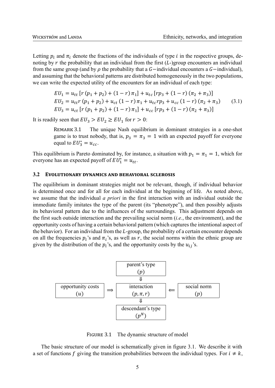Letting  $p_i$  and  $\pi_i$  denote the fractions of the individuals of type *i* in the respective groups, denoting by  $r$  the probability that an individual from the first  $(L)$ -group encounters an individual from the same group (and by  $\rho$  the probability that a  $G$  –individual encounters a  $G$  –individual), and assuming that the behavioral patterns are distributed homogeneously in the two populations, we can write the expected utility of the encounters for an individual of each type:

$$
EU_1 = u_{tt} [r (p_1 + p_2) + (1 - r) \pi_1] + u_{tc} [rp_3 + (1 - r) (\pi_2 + \pi_3)]
$$
  
\n
$$
EU_2 = u_{tt} r (p_1 + p_2) + u_{ct} (1 - r) \pi_1 + u_{tc} rp_3 + u_{cc} (1 - r) (\pi_2 + \pi_3)
$$
 (3.1)  
\n
$$
EU_3 = u_{ct} [r (p_1 + p_2) + (1 - r) \pi_1] + u_{cc} [rp_3 + (1 - r) (\pi_2 + \pi_3)]
$$

It is readily seen that  $EU_3 > EU_2 \geq EU_1$  for  $r > 0$ :

REMARK 3.1 The unique Nash equilibrium in dominant strategies in a one-shot game is to trust nobody, that is,  $p_3 = \pi_3 = 1$  with an expected payoff for everyone equal to  $EU_3^* = u_{cc}$ .

This equilibrium is Pareto dominated by, for instance, a situation with  $p_1 = \pi_1 = 1$ , which for everyone has an expected payoff of  $EU_1^* = u_{tt}$ .

#### 3.2 **EVOLUTIONARY DYNAMICS AND BEHAVIORAL SCLEROSIS**

The equilibrium in dominant strategies might not be relevant, though, if individual behavior is determined once and for all for each individual at the beginning of life. As noted above, we assume that the individual *a priori* in the first interaction with an individual outside the immediate family imitates the type of the parent (its "phenotype"), and then possibly adjusts its behavioral pattern due to the influences of the surroundings. This adjustment depends on the first such outside interaction and the prevailing social norm (*i.e.*, the environment), and the opportunity costs of having a certain behavioral pattern (which captures the intentional aspect of the behavior). For an individual from the  $L$ -group, the probability of a certain encounter depends on all the frequencies  $p_i$ 's and  $\pi_i$ 's, as well as r, the social norms within the ethnic group are given by the distribution of the  $p_i$ 's, and the opportunity costs by the  $u_{ij}$ 's.



FIGURE 3.1 The dynamic structure of model

The basic structure of our model is schematically given in figure 3.1. We describe it with a set of functions f giving the transition probabilities between the individual types. For  $i \neq k$ ,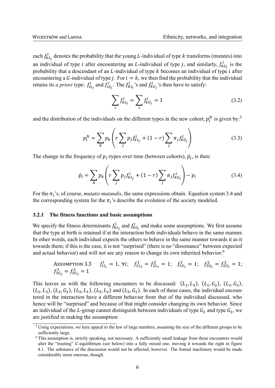each  $f_{kL_j}^i$  denotes the probability that the young *L*-individual of type *k* transforms (mutates) into an individual of type *i* after encountering an *L*-individual of type *j*, and similarly,  $f_{kG_j}^i$  is the probability that a descendant of an  $L$ -individual of type  $k$  becomes an individual of type  $i$  after encountering a G-individual of type *j*. For  $i = k$ , we then find the probability that the individual retains its *a priori* type:  $f_{iL_j}^i$  and  $f_{iG_j}^i$ . The  $f_{kL_j}^i$ 's and  $f_{kG_j}^i$ 's then have to satisfy:

$$
\sum_{i} f_{kL_j}^{i} = \sum_{i} f_{kG_j}^{i} = 1
$$
\n(3.2)

and the distribution of the individuals on the different types in the new cohort,  $p_i^N$  is given by:<sup>5</sup>

$$
p_i^N = \sum_k p_k \left( r \sum_j p_j f_{kL_j}^i + (1 - r) \sum_j \pi_j f_{kG_j}^i \right) \tag{3.3}
$$

The change in the frequency of  $p_i$ -types over time (between cohorts),  $\dot{p}_i$ , is then:

$$
\dot{p}_i = \sum_k p_k \left( r \sum_j p_j f_{kL_j}^i + (1 - r) \sum_j \pi_j f_{kG_j}^i \right) - p_i \tag{3.4}
$$

For the  $\pi_i$ 's, of course, *mutatis mutandis*, the same expressions obtain. Equation system 3.4 and the corresponding system for the  $\pi_i$ 's describe the evolution of the society modeled.

#### **3.2.1 The fitness functions and basic assumptions**

We specify the fitness determinants  $f_{kL_j}^i$  and  $f_{kG_j}^i$  and make some assumptions. We first assume that the type at birth is retained if at the interaction both individuals behave in the same manner. In other words, each individual expects the others to behave in the same manner towards it as it towards them; if this is the case, it is not "surprised" (there is no "dissonance" between expected and actual behavior) and will not see any reason to change its own inherited behavior:<sup>6</sup>

Assumption 3.3 
$$
f_{iL_i}^i = 1
$$
,  $\forall i$ ;  $f_{1L_2}^1 = f_{2L_1}^2 = 1$ ;  $f_{1G_1}^1 = 1$ ;  $f_{2G_2}^2 = f_{2G_3}^2 = 1$ ;  
\n $f_{3G_2}^3 = f_{3G_3}^3 = 1$ 

This leaves us with the following encounters to be discussed:  $(L_1, L_3)$ ,  $(L_1, G_2)$ ,  $(L_1, G_3)$ ,  $(L_2, L_3)$ ,  $(L_2, G_1)$ ,  $(L_3, L_1)$ ,  $(L_3, L_2)$  and  $(L_3, G_1)$ . In each of these cases, the individual encountered in the interaction have a different behavior from that of the individual discussed, who hence will be "surprised" and because of that might consider changing its own behavior. Since an individual of the L-group cannot distinguish between individuals of type  $G_2$  and type  $G_3$ , we are justified in making the assumption:

<sup>&</sup>lt;sup>5</sup> Using expectations, we here appeal to the law of large numbers, assuming the size of the different groups to be sufficiently large.

<sup>&</sup>lt;sup>6</sup> This assumption is, strictly speaking, not necessary. A sufficiently small leakage from these encounters would alter the "trusting"  $G$ -equilibrium (see below) into a fully mixed one, moving it towards the right in figure 4.1. The substance of the discussion would not be affected, however. The formal machinery would be made considerably more onerous, though.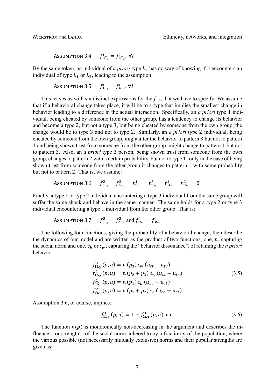ASSUMPTION 3.4  $f_{1G_2}^{i} = f_{1G_3}^{i}$ , ∀i

By the same token, an individual of *a priori* type  $L_3$  has no way of knowing if it encounters an individual of type  $L_1$  or  $L_2$ , leading to the assumption:

Assumption 3.5 
$$
f_{3L_1}^i = f_{3L_2}^i
$$
,  $\forall i$ 

This leaves us with six distinct expressions for the  $f$ 's, that we have to specify. We assume that if a behavioral change takes place, it will be to a type that implies the smallest change in behavior leading to a difference in the actual interaction. Specifically, an *a priori* type 1 individual, being cheated by someone from the other group, has a tendency to change its behavior and become a type 2, but not a type 3, but being cheated by someone from the own group, the change would be to type 3 and not to type 2. Similarly, an *a priori* type 2 individual, being cheated by someone from the own group, might alter the behavior to pattern 3 but not to pattern 1 and being shown trust from someone from the other group, might change to pattern 1 but not to pattern 3. Also, an *a priori* type 3 person, being shown trust from someone from the own group, changes to pattern 2 with a certain probability, but not to type 1; only in the case of being shown trust from someone from the other group it changes to pattern 1 with some probability but not to pattern 2. That is, we assume:

Assumption 3.6 
$$
f_{1L_3}^2 = f_{1G_2}^3 = f_{2L_3}^1 = f_{2G_1}^3 = f_{3L_1}^1 = f_{3G_1}^2 = 0
$$

Finally, a type 1 or type 2 individual encountering a type 3 individual from the same group will suffer the same shock and behave in the same manner. The same holds for a type 2 or type 3 individual encountering a type 1 individual from the other group. That is:

Assumption 3.7 
$$
f_{1L_3}^3 = f_{2L_3}^3
$$
 and  $f_{2G_1}^1 = f_{3G_1}^1$ 

The following four functions, giving the probability of a behavioral change, then describe the dynamics of our model and are written as the product of two functions, one,  $n$ , capturing the social norm and one,  $c_b$  or  $c_w$ , capturing the "behavior dissonance", of retaining the *a priori* behavior:

$$
f_{1L_3}^3(p, u) = n (p_3) c_w (u_{tt} - u_{tc})
$$
  
\n
$$
f_{1G_2}^2(p, u) = n (p_2 + p_3) c_w (u_{tt} - u_{tc})
$$
  
\n
$$
f_{2G_1}^1(p, u) = n (p_1) c_b (u_{cc} - u_{ct})
$$
  
\n
$$
f_{3L_1}^2(p, u) = n (p_1 + p_2) c_b (u_{cc} - u_{ct})
$$
\n(3.5)

Assumption 3.6, of course, implies:

$$
f_{1L_3}^1(p, u) = 1 - f_{1L_3}^3(p, u) \text{ etc.}
$$
 (3.6)

The function  $n(p)$  is monotonically non-decreasing in the argument and describes the influence – or strength – of the social norm adhered to by a fraction  $p$  of the population, where the various possible (not necessarily mutually exclusive) norms and their popular strengths are given as: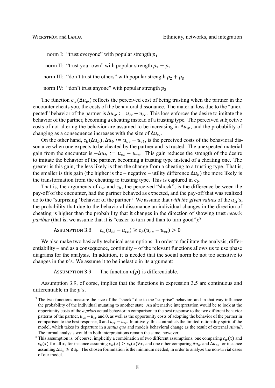norm I: "trust everyone" with popular strength  $p_1$ 

norm II: "trust your own" with popular strength  $p_1 + p_2$ 

- norm III: "don't trust the others" with popular strength  $p_2 + p_3$
- norm IV: "don't trust anyone" with popular strength  $p_3$

The function  $c_w(\Delta u_w)$  reflects the perceived cost of being trusting when the partner in the encounter cheats you, the costs of the behavioral dissonance. The material loss due to the "unexpected" behavior of the partner is  $\Delta u_w := u_{tt} - u_{tc}$ . This loss enforces the desire to imitate the behavior of the partner, becoming a cheating instead of a trusting type. The perceived subjective costs of not altering the behavior are assumed to be increasing in  $\Delta u_w$ , and the probability of changing as a consequence increases with the size of  $\Delta u_w$ .

On the other hand,  $c_b(\Delta u_b)$ ,  $\Delta u_b := u_{cc} - u_{ct}$ , is the perceived costs of the behavioral dissonance when one expects to be cheated by the partner and is trusted. The unexpected material gain from the encounter is  $-\Delta u_h := u_{ct} - u_{cc}$ . This gain reduces the strength of the desire to imitate the behavior of the partner, becoming a trusting type instead of a cheating one. The greater is this gain, the less likely is then the change from a cheating to a trusting type. That is, the smaller is this gain (the higher is the – negative – utility difference  $\Delta u_b$ ) the more likely is the transformation from the cheating to trusting type. This is captured in  $c<sub>h</sub>$ .

That is, the arguments of  $c_w$  and  $c_b$ , the perceived "shock", is the difference between the pay-off of the encounter, had the partner behaved as expected, and the pay-off that was realized do to the "surprising" behavior of the partner.<sup>7</sup> We assume that *with the given values* of the  $u_{ii}$ 's, the probability that due to the behavioral dissonance an individual changes in the direction of cheating is higher than the probability that it changes in the direction of showing trust *ceteris paribus* (that is, we assume that it is "easier to turn bad than to turn good"):<sup>8</sup>

```
ASSUMPTION 3.8 c_w(u_{tt} - u_{tc}) \ge c_b(u_{cc} - u_{ct}) > 0
```
We also make two basically technical assumptions. In order to facilitate the analysis, differentiability – and as a consequence, continuity – of the relevant functions allows us to use phase diagrams for the analysis. In addition, it is needed that the social norm be not too sensitive to changes in the  $p$ 's. We assume it to be inelastic in its argument:

ASSUMPTION 3.9 The function  $n(p)$  is differentiable.

Assumption 3.9, of corse, implies that the functions in expression 3.5 are continuous and differentiable in the  $v$ 's.

<sup>7</sup> The two functions measure the size of the "shock" due to the "surprise" behavior, and in that way influence the probability of the individual mutating to another state. An alternative interpretation would be to look at the opportunity costs of the *a priori* actual behavior in comparison to the best response to the two different behavior patterns of the partner,  $u_{cc} - u_{tc}$  and 0, as well as the opportunity costs of adopting the behavior of the partner in comparison to the best response, 0 and  $u_{ct} - u_{tt}$ . Intuitively, this contradicts the limited-rationality spirit of the model, which takes its departure in a *status quo* and models behavioral change as the result of external *stimuli*. The formal analysis would in both interpretations remain the same, however.

<sup>&</sup>lt;sup>8</sup> This assumption is, of course, implicitly a combination of two different assumptions, one comparing  $c_w(x)$  and  $c_h(x)$  for all x, for instance assuming  $c_w(x) \ge c_h(x) \forall x$ , and one other comparing  $\Delta u_w$  and  $\Delta u_h$ , for instance assuming  $\Delta u_w \ge \Delta u_h$ . The chosen formulation is the minimum needed, in order to analyze the non-trivial cases of our model.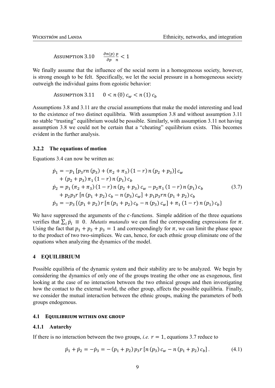ASSUMPTION 3.10  $\partial p$  $\overline{p}$  $\frac{p}{n}$  < 1

We finally assume that the influence of the social norm in a homogeneous society, however, is strong enough to be felt. Specifically, we let the social pressure in a homogeneous society outweigh the individual gains from egoistic behavior:

$$
Assumption 3.11 \t 0 < n(0) c_w < n(1) c_b
$$

Assumptions 3.8 and 3.11 are the crucial assumptions that make the model interesting and lead to the existence of two distinct equilibria. With assumption 3.8 and without assumption 3.11 no stable "trusting" equilibrium would be possible. Similarly, with assumption 3.11 not having assumption 3.8 we could not be certain that a "cheating" equilibrium exists. This becomes evident in the further analysis.

#### **3.2.2 The equations of motion**

Equations 3.4 can now be written as:

$$
\dot{p}_1 = -p_1 [p_3 rn (p_3) + (\pi_2 + \pi_3) (1 - r) n (p_2 + p_3)] c_w \n+ (p_2 + p_3) \pi_1 (1 - r) n (p_1) c_b \n\dot{p}_2 = p_1 (\pi_2 + \pi_3) (1 - r) n (p_2 + p_3) c_w - p_2 \pi_1 (1 - r) n (p_1) c_b \n+ p_2 p_3 r [n (p_1 + p_2) c_b - n (p_3) c_w] + p_1 p_3 rn (p_1 + p_2) c_b \n\dot{p}_3 = -p_3 \{ (p_1 + p_2) r [n (p_1 + p_2) c_b - n (p_3) c_w] + \pi_1 (1 - r) n (p_1) c_b \}
$$
\n(3.7)

We have suppressed the arguments of the  $c$ -functions. Simple addition of the three equations verifies that  $\sum_i \dot{p}_i \equiv 0$ . *Mutatis mutandis* we can find the corresponding expressions for  $\pi$ . Using the fact that  $p_1 + p_2 + p_3 = 1$  and correspondingly for  $\pi$ , we can limit the phase space to the product of two two-simplices. We can, hence, for each ethnic group eliminate one of the equations when analyzing the dynamics of the model.

#### **4 EQUILIBRIUM**

Possible equilibria of the dynamic system and their stability are to be analyzed. We begin by considering the dynamics of only one of the groups treating the other one as exogenous, first looking at the case of no interaction between the two ethnical groups and then investigating how the contact to the external world, the other group, affects the possible equilibria. Finally, we consider the mutual interaction between the ethnic groups, making the parameters of both groups endogenous.

#### **4.1 EQUILIBRIUM WITHIN ONE GROUP**

#### **4.1.1 Autarchy**

If there is no interaction between the two groups, *i.e.*  $r = 1$ , equations 3.7 reduce to

$$
\dot{p}_1 + \dot{p}_2 = -\dot{p}_3 = -(p_1 + p_2) p_3 r [n (p_3) c_w - n (p_1 + p_2) c_b]. \tag{4.1}
$$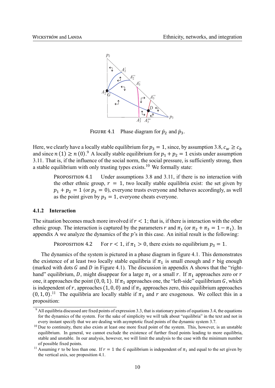

FIGURE 4.1 Phase diagram for  $\dot{p}_2$  and  $\dot{p}_3$ .

Here, we clearly have a locally stable equilibrium for  $p_3 = 1$ , since, by assumption 3.8,  $c_w \ge c_b$ and since  $n(1) \ge n(0)$ .<sup>9</sup> A locally stable equilibrium for  $p_1 + p_2 = 1$  exists under assumption 3.11. That is, if the influence of the social norm, the social pressure, is sufficiently strong, then a stable equilibrium with only trusting types exists.<sup>10</sup> We formally state:

PROPOSITION 4.1 Under assumptions 3.8 and 3.11, if there is no interaction with the other ethnic group,  $r = 1$ , two locally stable equilibria exist: the set given by  $p_1 + p_2 = 1$  (or  $p_3 = 0$ ), everyone trusts everyone and behaves accordingly, as well as the point given by  $p_3 = 1$ , everyone cheats everyone.

#### **4.1.2 Interaction**

The situation becomes much more involved if  $r < 1$ ; that is, if there is interaction with the other ethnic group. The interaction is captured by the parameters r and  $\pi_1$  (or  $\pi_2 + \pi_3 = 1 - \pi_1$ ). In appendix A we analyze the dynamics of the  $p$ 's in this case. An initial result is the following:

PROPOSITION 4.2 For  $r < 1$ , if  $\pi_1 > 0$ , there exists no equilibrium  $p_3 = 1$ .

The dynamics of the system is pictured in a phase diagram in figure 4.1. This demonstrates the existence of at least two locally stable equilibria if  $\pi_1$  is small enough and r big enough (marked with dots  $G$  and  $D$  in Figure 4.1). The discussion in appendix A shows that the "righthand" equilibrium, D, might disappear for a large  $\pi_1$  or a small r. If  $\pi_1$  approaches zero or r one, it approaches the point (0, 0, 1). If  $\pi_1$  approaches one, the "left-side" equilibrium G, which is independent of r, approaches (1, 0, 0) and if  $\pi_1$  approaches zero, this equilibrium approaches  $(0, 1, 0)$ .<sup>11</sup> The equilibria are locally stable if  $\pi_1$  and r are exogenous. We collect this in a proposition:

<sup>&</sup>lt;sup>9</sup> All equilibria discussed are fixed points of expression 3.3, that is stationary points of equations 3.4, the equations for the dynamics of the system. For the sake of simplicity we will talk about "equilibria" in the text and not in every instant specify that we are dealing with asymptotic fixed points of the dynamic system 3.7.

<sup>&</sup>lt;sup>10</sup> Due to continuity, there also exists at least one more fixed point of the system. This, however, is an unstable equilibrium. In general, we cannot exclude the existence of further fixed points leading to more equilibria, stable and unstable. In our analysis, however, we will limit the analysis to the case with the minimum number of possible fixed points.

<sup>&</sup>lt;sup>11</sup> Assuming *r* to be less than one. If  $r = 1$  the *G* equilibrium is independent of  $\pi_1$  and equal to the set given by the vertical axis, see proposition 4.1.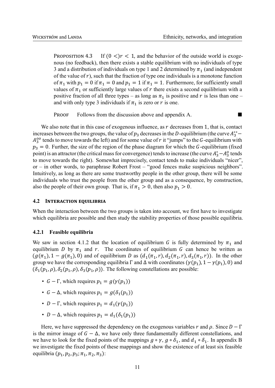PROPOSITION 4.3 If  $(0 \leq) r < 1$ , and the behavior of the outside world is exogenous (no feedback), then there exists a stable equilibrium with no individuals of type 3 and a distribution of individuals on type 1 and 2 determined by  $\pi_1$  (and independent of the value of  $r$ ), such that the fraction of type one individuals is a monotone function of  $\pi_1$  with  $p_1 = 0$  if  $\pi_1 = 0$  and  $p_1 = 1$  if  $\pi_1 = 1$ . Furthermore, for sufficiently small values of  $\pi_1$  or sufficiently large values of r there exists a second equilibrium with a positive fraction of all three types – as long as  $\pi_1$  is positive and r is less than one – and with only type 3 individuals if  $\pi_1$  is zero or r is one.

**PROOF** Follows from the discussion above and appendix A.  $\blacksquare$ 

We also note that in this case of exogenous influence, as  $r$  decreases from 1, that is, contact increases between the two groups, the value of  $p_3$  decreases in the D-equilibrium (the curve  $A_3^{**}$  –  $A_3^{\text{oo}}$  tends to move towards the left) and for some value of r it "jumps" to the G-equilibrium with  $p_3 = 0$ . Further, the size of the region of the phase diagram for which the G-equilibrium (fixed point) is an attractor (the critical mass for convergence) tends to increase (the curve  $A_3^* - A_3^0$  tends to move towards the right). Somewhat imprecisely, contact tends to make individuals "nicer", or – in other words, to paraphrase Robert Frost – "good fences make suspicious neighbors". Intuitively, as long as there are some trustworthy people in the other group, there will be some individuals who trust the people from the other group and as a consequence, by construction, also the people of their own group. That is, if  $\pi_1 > 0$ , then also  $p_1 > 0$ .

#### **4.2 INTERACTION EQUILIBRIA**

When the interaction between the two groups is taken into account, we first have to investigate which equilibria are possible and then study the stability properties of those possible equilibria.

#### **4.2.1 Feasible equilibria**

We saw in section 4.1.2 that the location of equilibrium G is fully determined by  $\pi_1$  and equilibrium D by  $\pi_1$  and r. The coordinates of equilibrium G can hence be written as  $(g(\pi_1), 1 - g(\pi_1), 0)$  and of equilibrium D as  $(d_1(\pi_1, r), d_2(\pi_1, r), d_3(\pi_1, r))$ . In the other group we have the corresponding equilibria  $\Gamma$  and  $\Delta$  with coordinates ( $\gamma(p_1)$ ,  $1 - \gamma(p_1)$ , 0) and  $(\delta_1(p_1, \rho), \delta_2(p_1, \rho), \delta_3(p_1, \rho))$ . The following constellations are possible:

- $G \Gamma$ , which requires  $p_1 = g(\gamma(p_1))$
- $G \Delta$ , which requires  $p_1 = g(\delta_1(p_1))$
- $D \Gamma$ , which requires  $p_1 = d_1(\gamma(p_1))$
- $D \Delta$ , which requires  $p_1 = d_1(\delta_1(p_1))$

Here, we have suppressed the dependency on the exogenous variables r and  $\rho$ . Since  $D - \Gamma$ is the mirror image of  $G - \Delta$ , we have only three fundamentally different constellations, and we have to look for the fixed points of the mappings  $g \circ \gamma$ ,  $g \circ \delta_1$ , and  $d_1 \circ \delta_1$ . In appendix B we investigate the fixed points of these mappings and show the existence of at least six feasible equilibria  $(p_1, p_2, p_3; \pi_1, \pi_2, \pi_3)$ :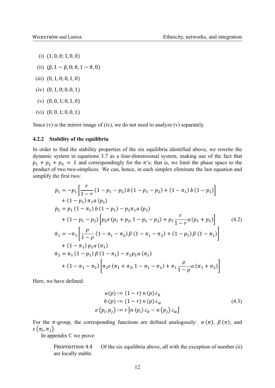- (i) (1, 0, 0; 1, 0, 0)
- (ii)  $(\hat{p}, 1 \hat{p}, 0; \hat{\pi}, 1 \hat{\pi}, 0)$
- (iii) (0, 1, 0; 0, 1, 0)
- (iv) (0, 1, 0; 0, 0, 1)
- (v) (0, 0, 1; 0, 1, 0)
- (vi) (0, 0, 1; 0, 0, 1)

Since  $(v)$  is the mirror image of  $(iv)$ , we do not need to analyze  $(v)$  separately.

#### **4.2.2 Stability of the equilibria**

In order to find the stability properties of the six equilibria identified above, we rewrite the dynamic system in equations 3.7 as a four-dimensional system, making use of the fact that  $p_1 + p_2 + p_3 = 1$  and correspondingly for the  $\pi$ 's; that is, we limit the phase space to the product of two two-simplices. We can, hence, in each simplex eliminate the last equation and simplify the first two:

$$
\begin{split}\n\dot{p}_1 &= -p_1 \left[ \frac{r}{1-r} \left( 1 - p_1 - p_2 \right) b \left( 1 - p_1 - p_2 \right) + \left( 1 - \pi_1 \right) b \left( 1 - p_1 \right) \right] \\
&+ \left( 1 - p_1 \right) \pi_1 a \left( p_1 \right) \\
\dot{p}_2 &= p_1 \left( 1 - \pi_1 \right) b \left( 1 - p_1 \right) - p_2 \pi_1 a \left( p_1 \right) \\
&+ \left( 1 - p_1 - p_2 \right) \left[ p_2 e \left( p_1 + p_2, 1 - p_1 - p_2 \right) + p_1 \frac{r}{1-r} a \left( p_1 + p_2 \right) \right] \\
\dot{r}_1 &= -\pi_1 \left[ \frac{\rho}{1-\rho} \left( 1 - \pi_1 - \pi_2 \right) \beta \left( 1 - \pi_1 - \pi_2 \right) + \left( 1 - p_1 \right) \beta \left( 1 - \pi_1 \right) \right] \\
&+ \left( 1 - \pi_1 \right) p_1 a \left( \pi_1 \right) \\
\dot{r}_2 &= \pi_1 \left( 1 - p_1 \right) \beta \left( 1 - \pi_1 \right) - \pi_2 p_1 a \left( \pi_1 \right) \\
&+ \left( 1 - \pi_1 - \pi_2 \right) \left[ \pi_2 \varepsilon \left( \pi_1 + \pi_2, 1 - \pi_1 - \pi_2 \right) + \pi_1 \frac{\rho}{1-\rho} a \left( \pi_1 + \pi_2 \right) \right]\n\end{split}
$$
\n(4.2)

Here, we have defined:

$$
a(p) := (1 - r) n (p) c_b
$$
  
\n
$$
b(p) := (1 - r) n (p) c_w
$$
  
\n
$$
e(p_i, p_j) := r [n (p_i) c_b - n (p_j) c_w]
$$
\n(4.3)

For the  $\pi$ -group, the corresponding functions are defined analogously:  $\alpha(\pi)$ ,  $\beta(\pi)$ , and  $\varepsilon\left(\pi_i,\pi_j\right)$ .

In appendix C we prove

PROPOSITION  $4.4$  Of the six equilibria above, all with the exception of number (ii) are locally stable.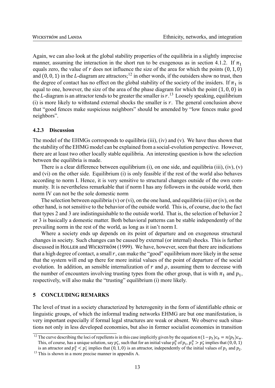Again, we can also look at the global stability properties of the equilibria in a slightly imprecise manner, assuming the interaction in the short run to be exogenous as in section 4.1.2. If  $\pi_1$ equals zero, the value of  $r$  does not influence the size of the area for which the points  $(0, 1, 0)$ and (0, 0, 1) in the L-diagram are attractors;<sup>12</sup> in other words, if the outsiders show no trust, then the degree of contact has no effect on the global stability of the society of the insiders. If  $\pi_1$  is equal to one, however, the size of the area of the phase diagram for which the point (1, 0, 0) in the L-diagram is an attractor tends to be greater the smaller is  $r$ .<sup>13</sup> Loosely speaking, equilibrium (i) is more likely to withstand external shocks the smaller is  $r$ . The general conclusion above that "good fences make suspicious neighbors" should be amended by "low fences make good neighbors".

#### **4.2.3 Discussion**

The model of the EHMGs corresponds to equilibria (iii), (iv) and (v). We have thus shown that the stability of the EHMG model can be explained from a social-evolution perspective. However, there are at least two other locally stable equilibria. An interesting question is how the selection between the equilibria is made.

There is a clear difference between equilibrium (i), on one side, and equilibria (iii), (iv), (v) and (vi) on the other side. Equilibrium (i) is only feasible if the rest of the world also behaves according to norm I. Hence, it is very sensitive to structural changes outside of the own community. It is nevertheless remarkable that if norm I has any followers in the outside world, then norm IV can not be the sole domestic norm

The selection between equilibria (v) or (vi), on the one hand, and equilibria (iii) or (iv), on the other hand, is not sensitive to the behavior of the outside world. This is, of course, due to the fact that types 2 and 3 are indistinguishable to the outside world. That is, the selection of behavior 2 or 3 is basically a domestic matter. Both behavioral patterns can be stable independently of the prevailing norm in the rest of the world, as long as it isn't norm I.

Where a society ends up depends on its point of departure and on exogenous structural changes in society. Such changes can be caused by external (or internal) shocks. This is further discussed in HOLLER and WICKSTRÖM (1999). We have, however, seen that there are indications that a high degree of contact, a small  $r$ , can make the "good" equilibrium more likely in the sense that the system will end up there for more initial values of the point of departure of the social evolution. In addition, an sensible internalization of  $r$  and  $\rho$ , assuming them to decrease with the number of encounters involving trusting types from the other group, that is with  $\pi_1$  and  $p_1$ , respectively, will also make the "trusting" equilibrium (i) more likely.

#### **5 CONCLUDING REMARKS**

The level of trust in a society characterized by heterogenity in the form of identifiable ethnic or linguistic groups, of which the informal trading networks EHMG are but one manifestation, is very important especially if formal legal structures are weak or absent. We observe such situations not only in less developed economies, but also in former socialist economies in transition

<sup>&</sup>lt;sup>12</sup> The curve describing the loci of repellents is in this case implicitly given by the equation  $n(1-p_3)c_h = n(p_3)c_w$ . This, of course, has a unique solution, say  $p_3^*$ , such that for an initial value  $p_3^0$  of  $p_3$ ,  $p_3^0 > p_3^*$  implies that (0, 0, 1)

is an attractor and  $p_3^0 < p_3^*$  implies that (0, 1, 0) is an attractor, independently of the initial values of  $p_1$  and  $p_2$ . <sup>13</sup> This is shown in a more precise manner in appendix A.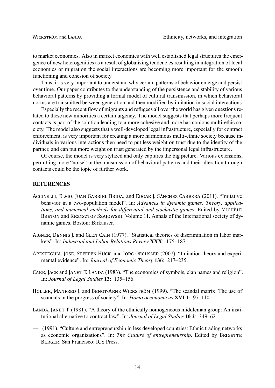to market economies. Also in market economies with well established legal structures the emergence of new heterogenities as a result of globalizing tendencies resulting in integration of local economies or migration the social interactions are becoming more important for the smooth functioning and cohesion of society.

Thus, it is very important to understand why certain patterns of behavior emerge and persist over time. Our paper contributes to the understanding of the persistence and stability of various behavioral patterns by providing a formal model of cultural transmission, in which behavioral norms are transmitted between generation and then modified by imitation in social interactions.

Especially the recent flow of migrants and refugees all over the world has given questions related to these new minorities a certain urgency. The model suggests that perhaps more frequent contacts is part of the solution leading to a more cohesive and more harmonious multi-ethic society. The model also suggests that a well-developed legal infrastructure, especially for contract enforcement, is very important for creating a more harmonious multi-ethnic society because individuals in various interactions then need to put less weight on trust due to the identity of the partner, and can put more weight on trust generated by the impersonal legal infrastructure.

Of course, the model is very stylized and only captures the big picture. Various extensions, permitting more "noise" in the transmission of behavioral patterns and their alteration through contacts could be the topic of further work.

#### **REFERENCES**

- ACCINELLI, ELVIO, JUAN GABRIEL BRIDA, and EDGAR J. SÁNCHEZ CARRERA (2011). "Imitative behavior in a two-population model". In: Advances in dynamic games: Theory, applications, and numerical methods for differential and stochastic games. Edited by MICHÈLE BRETON and KRZYSZTOF SZAJOWSKI. Volume 11. Annals of the International society of dynamic games. Boston: Birkäuser.
- AIGNER, DENNIS J. and GLEN CAIN (1977). "Statistical theories of discrimination in labor markets". In: Industrial and Labor Relations Review XXX: 175-187.
- APESTEGUIA, JOSE, STEFFEN HUCK, and JÖRG OECHSLER (2007). "Imitation theory and experimental evidence". In: Journal of Economic Theory 136: 217–235.
- CARR, JACK and JANET T. LANDA (1983). "The economics of symbols, clan names and religion". In: Journal of Legal Studies 13: 135-156.
- HOLLER, MANFRED J. and BENGT-ARNE WICKSTRÖM (1999). "The scandal matrix: The use of scandals in the progress of society". In: *Homo oeconomicus* XVI.1: 97–110.
- LANDA, JANET T. (1981). "A theory of the ethnically homogeneous middleman group: An institutional alternative to contract law". In: Journal of Legal Studies 10.2: 349–62.
- (1991). "Culture and entrepreneurship in less developed countries: Ethnic trading networks as economic organizations". In: The Culture of entrepreneurship. Edited by BRIGETTE **BERGER San Francisco: ICS Press**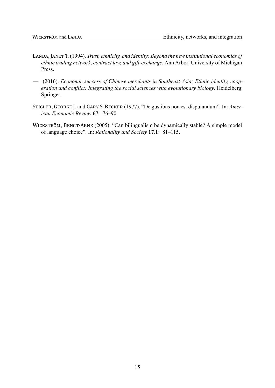- LANDA, JANET T. (1994). Trust, ethnicity, and identity: Beyond the new institutional economics of ethnic trading network, contract law, and gift-exchange. Ann Arbor: University of Michigan Press.
- (2016). Economic success of Chinese merchants in Southeast Asia: Ethnic identity, cooperation and conflict: Integrating the social sciences with evolutionary biology. Heidelberg: Springer.
- STIGLER, GEORGE J. and GARY S. BECKER (1977). "De gustibus non est disputandum". In: American Economic Review 67: 76-90.
- WICKSTRÖM, BENGT-ARNE (2005). "Can bilingualism be dynamically stable? A simple model of language choice". In: Rationality and Society 17.1: 81-115.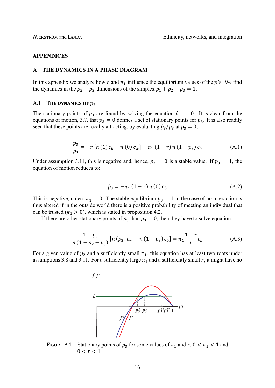#### **APPENDICES**

#### **A THE DYNAMICS IN A PHASE DIAGRAM**

In this appendix we analyze how r and  $\pi_1$  influence the equilibrium values of the p's. We find the dynamics in the  $p_2 - p_3$ -dimensions of the simplex  $p_1 + p_2 + p_3 = 1$ .

#### **A.1** THE DYNAMICS OF  $p_3$

The stationary points of  $p_3$  are found by solving the equation  $\dot{p}_3 = 0$ . It is clear from the equations of motion, 3.7, that  $p_3 = 0$  defines a set of stationary points for  $p_3$ . It is also readily seen that these points are locally attracting, by evaluating  $\dot{p}_3/p_3$  at  $p_3 = 0$ :

$$
\frac{\dot{p}_3}{p_3} = -r [n (1) c_b - n (0) c_w] - \pi_1 (1 - r) n (1 - p_2) c_b \tag{A.1}
$$

Under assumption 3.11, this is negative and, hence,  $p_3 = 0$  is a stable value. If  $p_3 = 1$ , the equation of motion reduces to:

$$
\dot{p}_3 = -\pi_1 (1 - r) n (0) c_b \tag{A.2}
$$

This is negative, unless  $\pi_1 = 0$ . The stable equilibrium  $p_3 = 1$  in the case of no interaction is thus altered if in the outside world there is a positive probability of meeting an individual that can be trusted ( $\pi_1 > 0$ ), which is stated in proposition 4.2.

If there are other stationary points of  $p_3$  than  $p_3 = 0$ , then they have to solve equation:

$$
\frac{1 - p_3}{n(1 - p_2 - p_3)} [n (p_3) c_w - n (1 - p_3) c_b] = \pi_1 \frac{1 - r}{r} c_b
$$
 (A.3)

For a given value of  $p_2$  and a sufficiently small  $\pi_1$ , this equation has at least two roots under assumptions 3.8 and 3.11. For a sufficiently large  $\pi_1$  and a sufficiently small r, it might have no



FIGURE A.1 Stationary points of  $p_3$  for some values of  $\pi_1$  and  $r, 0 < \pi_1 < 1$  and  $0 < r < 1$ .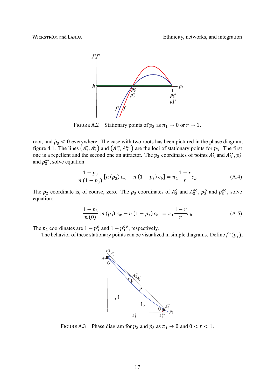

FIGURE A.2 Stationary points of  $p_3$  as  $\pi_1 \rightarrow 0$  or  $r \rightarrow 1$ .

root, and  $\dot{p}_3$  < 0 everywhere. The case with two roots has been pictured in the phase diagram, figure 4.1. The lines  $(A_3^*, A_3^0)$  and  $(A_3^{**}, A_3^{oo})$  are the loci of stationary points for  $p_3$ . The first one is a repellent and the second one an attractor. The  $p_3$  coordinates of points  $A_3^*$  and  $A_3^{**}$ ,  $p_3^*$ and  $p_3^{**}$ , solve equation:

$$
\frac{1 - p_3}{n(1 - p_3)} [n (p_3) c_w - n (1 - p_3) c_b] = \pi_1 \frac{1 - r}{r} c_b
$$
 (A.4)

The  $p_2$  coordinate is, of course, zero. The  $p_3$  coordinates of  $A_3^0$  and  $A_3^{00}$ ,  $p_3^0$  and  $p_3^{00}$ , solve equation:

$$
\frac{1 - p_3}{n(0)} [n(p_3) c_w - n(1 - p_3) c_b] = \pi_1 \frac{1 - r}{r} c_b
$$
 (A.5)

The  $p_2$  coordinates are  $1 - p_3^0$  and  $1 - p_3^{00}$ , respectively.

The behavior of these stationary points can be visualized in simple diagrams. Define  $f^*(p_3)$ ,



FIGURE A.3 Phase diagram for  $\dot{p}_2$  and  $\dot{p}_3$  as  $\pi_1 \rightarrow 0$  and  $0 < r < 1$ .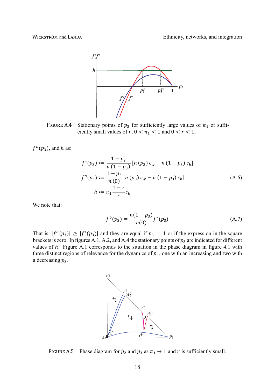

FIGURE A.4 Stationary points of  $p_3$  for sufficiently large values of  $\pi_1$  or sufficiently small values of r,  $0 < \pi_1 < 1$  and  $0 < r < 1$ .

 $f^o(p_3)$ , and h as:

$$
f^*(p_3) := \frac{1 - p_3}{n(1 - p_3)} [n (p_3) c_w - n (1 - p_3) c_b]
$$
  
\n
$$
f^o(p_3) := \frac{1 - p_3}{n(0)} [n (p_3) c_w - n (1 - p_3) c_b]
$$
  
\n
$$
h := \pi_1 \frac{1 - r}{r} c_b
$$
\n(A.6)

We note that:

$$
f^{o}(p_3) = \frac{n(1-p_3)}{n(0)} f^{*}(p_3)
$$
 (A.7)

That is,  $|f^{\circ}(p_3)| \geq |f^*(p_3)|$  and they are equal if  $p_3 = 1$  or if the expression in the square brackets is zero. In figures A.1, A.2, and A.4 the stationary points of  $p_3$  are indicated for different values of  $h$ . Figure A.1 corresponds to the situation in the phase diagram in figure 4.1 with three distinct regions of relevance for the dynamics of  $p_3$ , one with an increasing and two with a decreasing  $p_3$ .



FIGURE A.5 Phase diagram for  $\dot{p}_2$  and  $\dot{p}_3$  as  $\pi_1 \rightarrow 1$  and  $r$  is sufficiently small.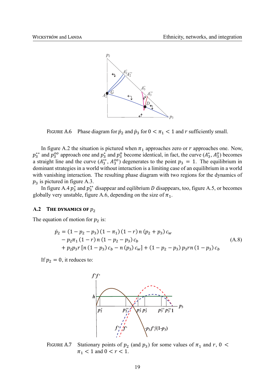

FIGURE A.6 Phase diagram for  $\dot{p}_2$  and  $\dot{p}_3$  for  $0 < \pi_1 < 1$  and r sufficiently small.

In figure A.2 the situation is pictured when  $\pi_1$  approaches zero or  $r$  approaches one. Now,  $p_3^{**}$  and  $p_3^{00}$  approach one and  $p_3^*$  and  $p_3^0$  become identical, in fact, the curve  $(A_3^*, A_3^0)$  becomes a straight line and the curve  $(A_3^{**}, A_3^{oo})$  degenerates to the point  $p_3 = 1$ . The equilibrium in dominant strategies in a world without interaction is a limiting case of an equilibrium in a world with vanishing interaction. The resulting phase diagram with two regions for the dynamics of  $p_3$  is pictured in figure A.3.

In figure A.4  $p_3^*$  and  $p_3^{**}$  disappear and eqilibrium D disappears, too, figure A.5, or becomes globally very unstable, figure A.6, depending on the size of  $\pi_1$ .

#### **A.2 THE DYNAMICS OF**  $p_2$

The equation of motion for  $p_2$  is:

$$
\begin{aligned} \dot{p}_2 &= \left(1 - p_2 - p_3\right)\left(1 - \pi_1\right)\left(1 - r\right)n\left(p_2 + p_3\right)c_W \\ &- p_2\pi_1\left(1 - r\right)n\left(1 - p_2 - p_3\right)c_b \\ &+ p_2p_3r\left[n\left(1 - p_3\right)c_b - n\left(p_3\right)c_w\right] + \left(1 - p_2 - p_3\right)p_3rn\left(1 - p_3\right)c_b \end{aligned} \tag{A.8}
$$

If  $p_2 = 0$ , it reduces to:



FIGURE A.7 Stationary points of  $p_2$  (and  $p_3$ ) for some values of  $\pi_1$  and  $r$ , 0 <  $\pi_1$  < 1 and 0 <  $r$  < 1.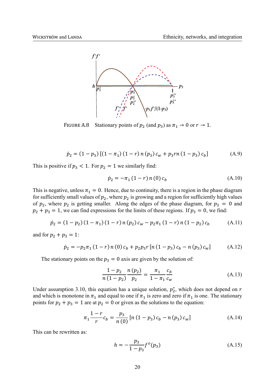

FIGURE A.8 Stationary points of  $p_2$  (and  $p_3$ ) as  $\pi_1 \rightarrow 0$  or  $r \rightarrow 1$ .

$$
\dot{p}_2 = (1 - p_3) [(1 - \pi_1) (1 - r) n (p_3) c_w + p_3 r n (1 - p_3) c_b]
$$
(A.9)

This is positive if  $p_3 < 1$ . For  $p_2 = 1$  we similarly find:

$$
\dot{p}_2 = -\pi_1 (1 - r) n(0) c_b \tag{A.10}
$$

This is negative, unless  $\pi_1 = 0$ . Hence, due to continuity, there is a region in the phase diagram for sufficiently small values of  $p_2$ , where  $p_2$  is growing and a region for sufficiently high values of  $p_2$ , where  $p_2$  is getting smaller. Along the edges of the phase diagram, for  $p_3 = 0$  and  $p_2 + p_3 = 1$ , we can find expressions for the limits of these regions. If  $p_3 = 0$ , we find:

$$
\dot{p}_2 = (1 - p_2) (1 - \pi_1) (1 - r) n (p_2) c_w - p_2 \pi_1 (1 - r) n (1 - p_2) c_b \tag{A.11}
$$

and for  $p_2 + p_3 = 1$ :

$$
\dot{p}_2 = -p_2 \pi_1 (1 - r) n (0) c_b + p_2 p_3 r [n (1 - p_3) c_b - n (p_3) c_w]
$$
 (A.12)

The stationary points on the  $p_3 = 0$  axis are given by the solution of:

$$
\frac{1 - p_2}{n(1 - p_2)} \frac{n(p_2)}{p_2} = \frac{\pi_1}{1 - \pi_1} \frac{c_b}{c_w} \tag{A.13}
$$

Under assumption 3.10, this equation has a unique solution,  $p_2^*$ , which does not depend on r and which is monotone in  $\pi_1$  and equal to one if  $\pi_1$  is zero and zero if  $\pi_1$  is one. The stationary points for  $p_2 + p_3 = 1$  are at  $p_2 = 0$  or given as the solutions to the equation:

$$
\pi_1 \frac{1-r}{r} c_b = \frac{p_3}{n(0)} \left[ n \left( 1 - p_3 \right) c_b - n \left( p_3 \right) c_w \right] \tag{A.14}
$$

This can be rewritten as:

$$
h = -\frac{p_3}{1 - p_3} f^o(p_3)
$$
 (A.15)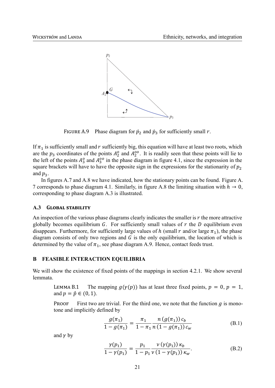

FIGURE A.9 Phase diagram for  $\dot{p}_2$  and  $\dot{p}_3$  for sufficiently small r.

If  $\pi_1$  is sufficiently small and r sufficiently big, this equation will have at least two roots, which are the  $p_3$  coordinates of the points  $A_2^0$  and  $A_2^{00}$ . It is readily seen that these points will lie to the left of the points  $A_3^o$  and  $A_3^{oo}$  in the phase diagram in figure 4.1, since the expression in the square brackets will have to have the opposite sign in the expressions for the stationarity of  $p_2$ and  $p_3$ .

In figures A.7 and A.8 we have indicated, how the stationary points can be found. Figure A. 7 corresponds to phase diagram 4.1. Similarly, in figure A.8 the limiting situation with  $h \to 0$ , corresponding to phase diagram A.3 is illustrated.

#### **GLOBAL STABILITY**  $A.3$

An inspection of the various phase diagrams clearly indicates the smaller is r the more attractive globally becomes equilibrium  $G$ . For sufficiently small values of  $r$  the  $D$  equilibrium even disappears. Furthermore, for sufficiently large values of h (small r and/or large  $\pi_1$ ), the phase diagram consists of only two regions and  $G$  is the only equilibrium, the location of which is determined by the value of  $\pi_1$ , see phase diagram A.9. Hence, contact feeds trust.

#### B **FEASIBLE INTERACTION EQUILIBRIA**

We will show the existence of fixed points of the mappings in section 4.2.1. We show several lemmata.

The mapping  $g(y(p))$  has at least three fixed points,  $p = 0$ ,  $p = 1$ , LEMMA<sub>B.1</sub> and  $p = \hat{p} \in (0, 1)$ .

**PROOF** First two are trivial. For the third one, we note that the function  $g$  is monotone and implicitly defined by

$$
\frac{g(\pi_1)}{1 - g(\pi_1)} = \frac{\pi_1}{1 - \pi_1} \frac{n (g(\pi_1)) c_b}{n (1 - g(\pi_1)) c_w}
$$
(B.1)

and  $\gamma$  by

$$
\frac{\gamma(p_1)}{1 - \gamma(p_1)} = \frac{p_1}{1 - p_1} \frac{\nu(\gamma(p_1)) \kappa_b}{\nu(1 - \gamma(p_1)) \kappa_w}.
$$
 (B.2)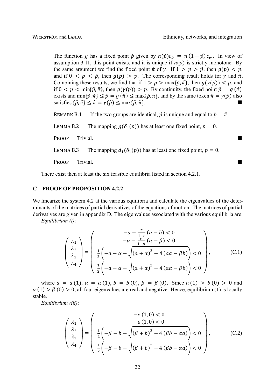The function g has a fixed point  $\check{p}$  given by  $n(\check{p}) c_h = n(1 - \check{p}) c_w$ . In view of assumption 3.11, this point exists, and it is unique if  $n(p)$  is strictly monotone. By the same argument we find the fixed point  $\check{\pi}$  of  $\gamma$ . If  $1 > p > \check{p}$ , then  $q(p) < p$ , and if  $0 \le p \le \tilde{p}$ , then  $g(p) > p$ . The corresponding result holds for  $\gamma$  and  $\tilde{\pi}$ . Combining these results, we find that if  $1 > p > \max\{\tilde{p}, \tilde{\pi}\}\)$ , then  $g(\gamma(p)) < p$ , and if  $0 < p < \min{\{\tilde{p}, \tilde{\pi}\}\$ , then  $g(\gamma(p)) > p$ . By continuity, the fixed point  $\hat{p} = g(\hat{\pi})$ exists and min{ $\check{p}, \check{\pi} \le \hat{p} = g(\hat{\pi}) \le \max{\{\check{p}, \check{\pi}\}\}\$ , and by the same token  $\hat{\pi} = \gamma(\hat{p})$  also satisfies  $\{\check{p}, \check{\pi}\} \leq \hat{\pi} = \gamma(\hat{p}) \leq \max\{\check{p}, \check{\pi}\}.$ 

REMARK B.1 If the two groups are identical,  $\hat{p}$  is unique and equal to  $\check{p} = \check{\pi}$ .

LEMMA B.2 The mapping  $q(\delta_1(p))$  has at least one fixed point,  $p = 0$ .

PROOF Trivial. ■ PROOF Trivial.

LEMMA B.3 The mapping  $d_1(\delta_1(p))$  has at least one fixed point,  $p = 0$ .

PėĔĔċ Trivial. ■

There exist then at least the six feasible equilibria listed in section 4.2.1.

#### **C PROOF OF PROPOSITION 4.2.2**

We linearize the system 4.2 at the various equilibria and calculate the eigenvalues of the determinants of the matrices of partial derivatives of the equations of motion. The matrices of partial derivatives are given in appendix D. The eigenvalues associated with the various equilibria are:

*Equilibrium (i)*:

$$
\begin{pmatrix}\n\lambda_1 \\
\lambda_2 \\
\lambda_3 \\
\lambda_4\n\end{pmatrix} = \begin{pmatrix}\n-a - \frac{r}{1 - \rho}(a - b) < 0 \\
-a - \frac{r}{1 - \rho}(a - \beta) < 0 \\
\frac{1}{2}\left(-a - \alpha + \sqrt{(a + \alpha)^2 - 4(a\alpha - \beta b)}\right) < 0 \\
\frac{1}{2}\left(-a - \alpha - \sqrt{(a + \alpha)^2 - 4(a\alpha - \beta b)}\right) < 0\n\end{pmatrix},
$$
\n(C.1)

where  $a = a(1), \alpha = \alpha(1), b = b(0), \beta = \beta(0)$ . Since  $a(1) > b(0) > 0$  and  $\alpha(1) > \beta(0) > 0$ , all four eigenvalues are real and negative. Hence, equilibrium (1) is locally stable.

*Equilibrium (iii)*:

$$
\begin{pmatrix}\n\lambda_1 \\
\lambda_2 \\
\lambda_3 \\
\lambda_4\n\end{pmatrix} = \begin{pmatrix}\n- e (1, 0) < 0 \\
- e (1, 0) < 0 \\
- e (1, 0) < 0 \\
\frac{1}{2} \left( - \beta - b + \sqrt{(\beta + b)^2 - 4 (\beta b - \alpha a)} \right) < 0 \\
\frac{1}{2} \left( - \beta - b - \sqrt{(\beta + b)^2 - 4 (\beta b - \alpha a)} \right) < 0\n\end{pmatrix},\tag{C.2}
$$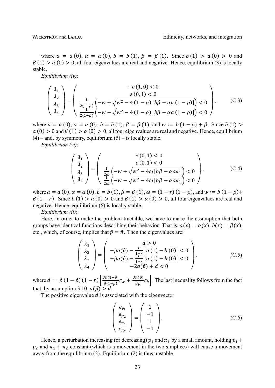where  $a = a(0), \alpha = \alpha(0), b = b(1), \beta = \beta(1)$ . Since  $b(1) > a(0) > 0$  and  $\beta(1) > \alpha(0) > 0$ , all four eigenvalues are real and negative. Hence, equilibrium (3) is locally stable.

*Equilibrium (iv)*:

$$
\begin{pmatrix}\n\lambda_1 \\
\lambda_2 \\
\lambda_3 \\
\lambda_4\n\end{pmatrix} = \begin{pmatrix}\n- e (1, 0) < 0 \\
\frac{e (0, 1) < 0}{e (0, 1) < 0} \\
\frac{1}{2(1-\rho)} \left( -w + \sqrt{w^2 - 4(1-\rho) \left[ b\beta - \alpha a (1-\rho) \right]} \right) < 0 \\
\frac{1}{2(1-\rho)} \left( -w - \sqrt{w^2 - 4(1-\rho) \left[ b\beta - \alpha a (1-\rho) \right]} \right) < 0\n\end{pmatrix},\n\tag{C.3}
$$

where  $a = a(0), \alpha = \alpha(0), b = b(1), \beta = \beta(1),$  and  $w := b(1 - \rho) + \beta$ . Since  $b(1) >$  $a(0) > 0$  and  $\beta(1) > \alpha(0) > 0$ , all four eigenvalues are real and negative. Hence, equilibrium  $(4)$  – and, by symmetry, equilibrium  $(5)$  – is locally stable.

*Equilibrium (vi)*:

$$
\begin{pmatrix}\n\lambda_1 \\
\lambda_2 \\
\lambda_3 \\
\lambda_4\n\end{pmatrix} = \begin{pmatrix}\ne(0,1) < 0 \\
\varepsilon(0,1) < 0 \\
\frac{1}{2\omega} \left(-w + \sqrt{w^2 - 4\omega \left[b\beta - \alpha a\omega\right]}\right) < 0 \\
\frac{1}{2\omega} \left(-w - \sqrt{w^2 - 4\omega \left[b\beta - \alpha a\omega\right]}\right) < 0\n\end{pmatrix},\tag{C.4}
$$

where  $a = a(0), \alpha = \alpha(0), b = b(1), \beta = \beta(1), \omega = (1 - r)(1 - \rho)$ , and  $w := b(1 - \rho) +$  $\beta(1 - r)$ . Since  $b(1) > a(0) > 0$  and  $\beta(1) > \alpha(0) > 0$ , all four eigenvalues are real and negative. Hence, equilibrium (6) is locally stable.

*Equilibrium (ii)*:

Here, in order to make the problem tractable, we have to make the assumption that both groups have identical functions describing their behavior. That is,  $a(x) = \alpha(x)$ ,  $b(x) = \beta(x)$ , etc., which, of course, implies that  $\hat{p} = \hat{\pi}$ . Then the eigenvalues are:

$$
\begin{pmatrix} \lambda_1 \\ \lambda_2 \\ \lambda_3 \\ \lambda_4 \end{pmatrix} = \begin{pmatrix} d > 0 \\ -\hat{p}a(\hat{p}) - \frac{r}{1-r} [a(1) - b(0)] < 0 \\ -\hat{p}a(\hat{p}) - \frac{r}{1-r} [a(1) - b(0)] < 0 \\ -2a(\hat{p}) + d < 0 \end{pmatrix},
$$
(C.5)

where  $d := \hat{p}(1-\hat{p})(1-r)\left|\frac{\partial n(1-\hat{p})}{\partial (1-\hat{p})}\right|$  $\frac{\partial n(1-\hat{p})}{\partial (1-p)}c_w + \frac{\partial n(\hat{p})}{\partial p}c_b$ . The last inequality follows from the fact that, by assumption 3.10,  $a(\hat{p}) > d$ .

The positive eigenvalue  $d$  is associated with the eigenvector

$$
\begin{pmatrix} e_{p_1} \\ e_{p_2} \\ e_{\pi_1} \\ e_{\pi_2} \end{pmatrix} = \begin{pmatrix} 1 \\ -1 \\ 1 \\ -1 \end{pmatrix}.
$$
 (C.6)

Hence, a perturbation increasing (or decreasing)  $p_1$  and  $\pi_1$  by a small amount, holding  $p_1$  +  $p_2$  and  $\pi_1 + \pi_2$  constant (which is a movement in the two simplices) will cause a movement away from the equilibrium (2). Equilibrium (2) is thus unstable.